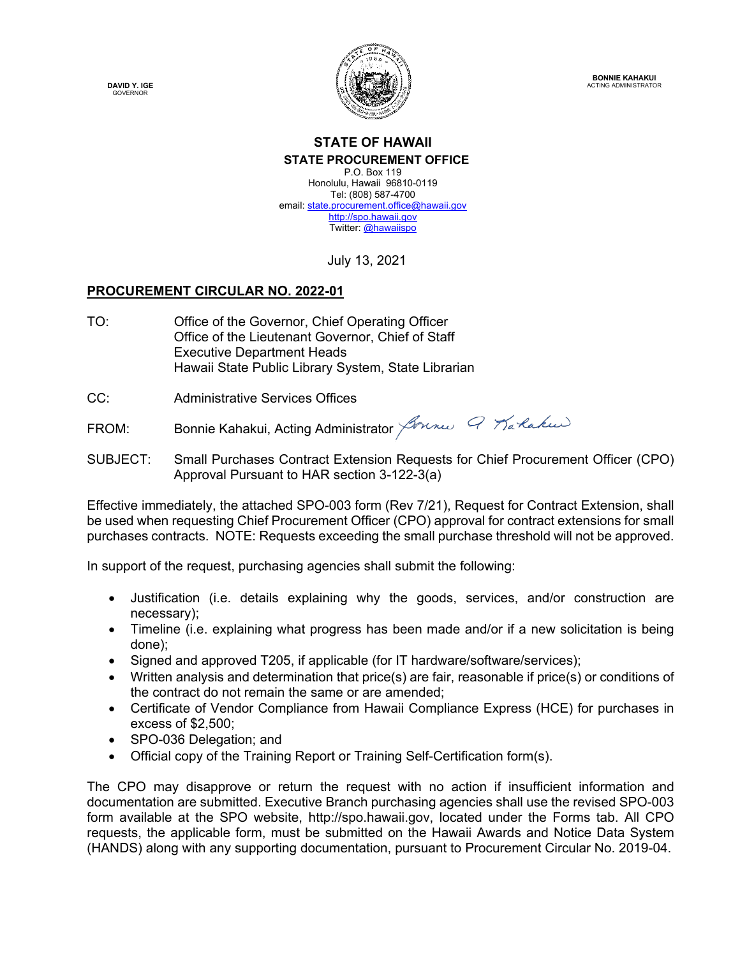**DAVID Y. IGE GOVERNOR** 



**BONNIE KAHAKUI**  ACTING ADMINISTRATOR

## **STATE OF HAWAII STATE PROCUREMENT OFFICE**

P.O. Box 119 Honolulu, Hawaii 96810-0119 Tel: (808) 587-4700 email: state.procurement.office@hawaii.gov http://spo.hawaii.gov Twitter: @hawaiispo

July 13, 2021

## **PROCUREMENT CIRCULAR NO. 2022-01**

- TO: Office of the Governor, Chief Operating Officer Office of the Lieutenant Governor, Chief of Staff Executive Department Heads Hawaii State Public Library System, State Librarian
- CC: Administrative Services Offices

FROM:Bonnie Kahakui, Acting Administrator Journes Q Marlakus

SUBJECT: Small Purchases Contract Extension Requests for Chief Procurement Officer (CPO) Approval Pursuant to HAR section 3-122-3(a)

Effective immediately, the attached SPO-003 form (Rev 7/21), Request for Contract Extension, shall be used when requesting Chief Procurement Officer (CPO) approval for contract extensions for small purchases contracts. NOTE: Requests exceeding the small purchase threshold will not be approved.

In support of the request, purchasing agencies shall submit the following:

- Justification (i.e. details explaining why the goods, services, and/or construction are necessary);
- Timeline (i.e. explaining what progress has been made and/or if a new solicitation is being done);
- Signed and approved T205, if applicable (for IT hardware/software/services);
- Written analysis and determination that price(s) are fair, reasonable if price(s) or conditions of the contract do not remain the same or are amended;
- Certificate of Vendor Compliance from Hawaii Compliance Express (HCE) for purchases in excess of \$2,500;
- SPO-036 Delegation; and
- Official copy of the Training Report or Training Self-Certification form(s).

The CPO may disapprove or return the request with no action if insufficient information and documentation are submitted. Executive Branch purchasing agencies shall use the revised SPO-003 form available at the SPO website, http://spo.hawaii.gov, located under the Forms tab. All CPO requests, the applicable form, must be submitted on the Hawaii Awards and Notice Data System (HANDS) along with any supporting documentation, pursuant to Procurement Circular No. 2019-04.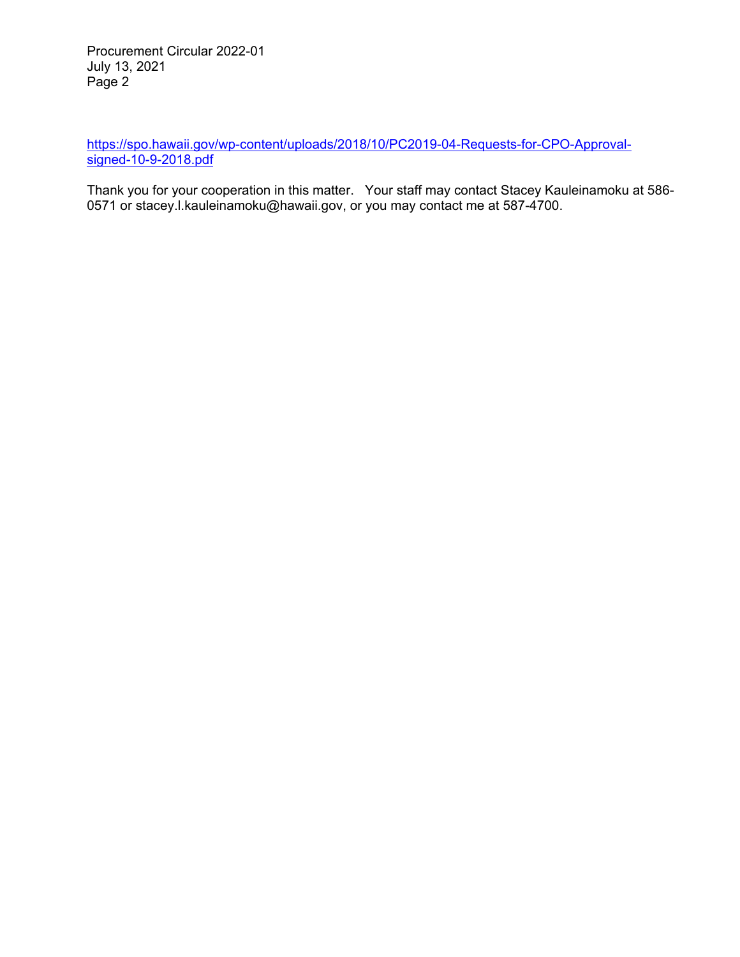Procurement Circular 2022-01 July 13, 2021 Page 2

https://spo.hawaii.gov/wp-content/uploads/2018/10/PC2019-04-Requests-for-CPO-Approvalsigned-10-9-2018.pdf

Thank you for your cooperation in this matter. Your staff may contact Stacey Kauleinamoku at 586- 0571 or stacey.l.kauleinamoku@hawaii.gov, or you may contact me at 587-4700.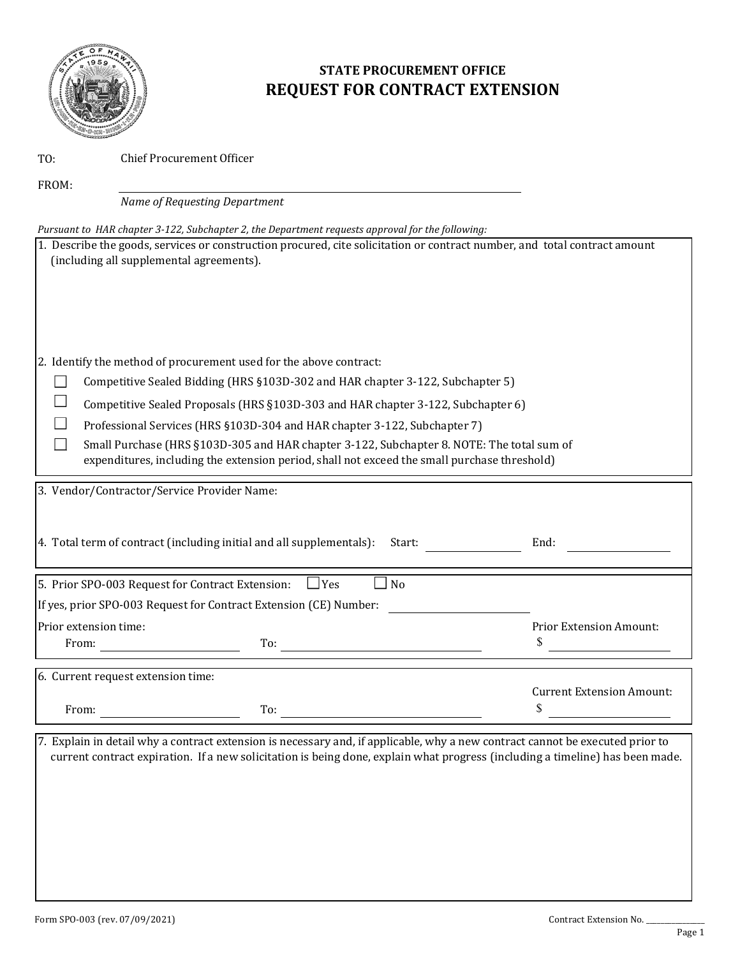

## **STATE PROCUREMENT OFFICE REQUEST FOR CONTRACT EXTENSION**

TO:

Chief Procurement Officer

FROM:

*Name of Requesting Department*

| Pursuant to HAR chapter 3-122, Subchapter 2, the Department requests approval for the following:                                                                       |                                        |
|------------------------------------------------------------------------------------------------------------------------------------------------------------------------|----------------------------------------|
| 1. Describe the goods, services or construction procured, cite solicitation or contract number, and total contract amount<br>(including all supplemental agreements).  |                                        |
| 2. Identify the method of procurement used for the above contract:                                                                                                     |                                        |
| Competitive Sealed Bidding (HRS §103D-302 and HAR chapter 3-122, Subchapter 5)                                                                                         |                                        |
|                                                                                                                                                                        |                                        |
| Competitive Sealed Proposals (HRS §103D-303 and HAR chapter 3-122, Subchapter 6)                                                                                       |                                        |
| Professional Services (HRS §103D-304 and HAR chapter 3-122, Subchapter 7)<br>Small Purchase (HRS §103D-305 and HAR chapter 3-122, Subchapter 8. NOTE: The total sum of |                                        |
| expenditures, including the extension period, shall not exceed the small purchase threshold)                                                                           |                                        |
| 3. Vendor/Contractor/Service Provider Name:                                                                                                                            |                                        |
|                                                                                                                                                                        |                                        |
| 4. Total term of contract (including initial and all supplementals):<br>Start:                                                                                         | End:                                   |
| 5. Prior SPO-003 Request for Contract Extension:<br>N <sub>o</sub><br>$\Box$ Yes                                                                                       |                                        |
| If yes, prior SPO-003 Request for Contract Extension (CE) Number:                                                                                                      |                                        |
| Prior extension time:                                                                                                                                                  | <b>Prior Extension Amount:</b>         |
| From: $\qquad \qquad$<br>$\Gamma$ o: $\overline{\phantom{a}}$                                                                                                          | \$                                     |
| 6. Current request extension time:                                                                                                                                     |                                        |
| To:<br>From:                                                                                                                                                           | <b>Current Extension Amount:</b><br>\$ |
|                                                                                                                                                                        |                                        |

7. Explain in detail why a contract extension is necessary and, if applicable, why a new contract cannot be executed prior to current contract expiration. If a new solicitation is being done, explain what progress (including a timeline) has been made.